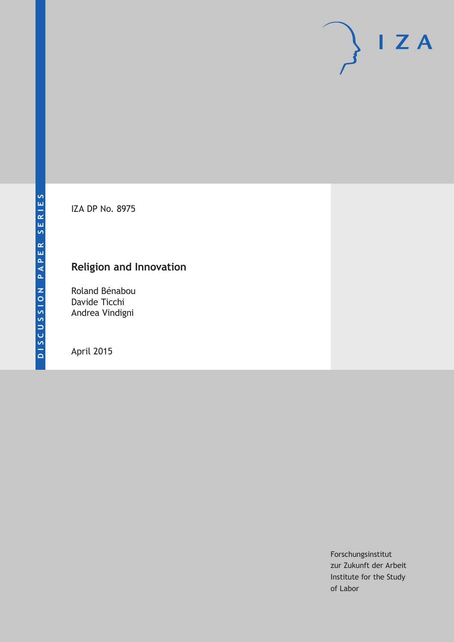IZA DP No. 8975

# **Religion and Innovation**

Roland Bénabou Davide Ticchi Andrea Vindigni

April 2015

Forschungsinstitut zur Zukunft der Arbeit Institute for the Study of Labor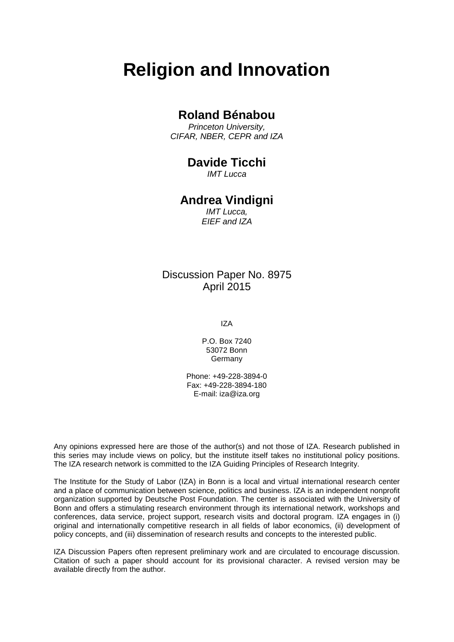# **Religion and Innovation**

#### **Roland Bénabou**

*Princeton University, CIFAR, NBER, CEPR and IZA*

#### **Davide Ticchi**

*IMT Lucca*

# **Andrea Vindigni**

*IMT Lucca, EIEF and IZA*

#### Discussion Paper No. 8975 April 2015

IZA

P.O. Box 7240 53072 Bonn Germany

Phone: +49-228-3894-0 Fax: +49-228-3894-180 E-mail: iza@iza.org

Any opinions expressed here are those of the author(s) and not those of IZA. Research published in this series may include views on policy, but the institute itself takes no institutional policy positions. The IZA research network is committed to the IZA Guiding Principles of Research Integrity.

The Institute for the Study of Labor (IZA) in Bonn is a local and virtual international research center and a place of communication between science, politics and business. IZA is an independent nonprofit organization supported by Deutsche Post Foundation. The center is associated with the University of Bonn and offers a stimulating research environment through its international network, workshops and conferences, data service, project support, research visits and doctoral program. IZA engages in (i) original and internationally competitive research in all fields of labor economics, (ii) development of policy concepts, and (iii) dissemination of research results and concepts to the interested public.

<span id="page-1-0"></span>IZA Discussion Papers often represent preliminary work and are circulated to encourage discussion. Citation of such a paper should account for its provisional character. A revised version may be available directly from the author.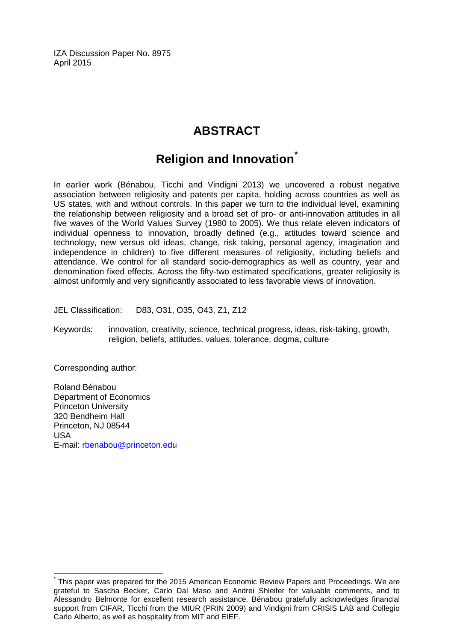IZA Discussion Paper No. 8975 April 2015

# **ABSTRACT**

# **Religion and Innovation[\\*](#page-1-0)**

In earlier work (Bénabou, Ticchi and Vindigni 2013) we uncovered a robust negative association between religiosity and patents per capita, holding across countries as well as US states, with and without controls. In this paper we turn to the individual level, examining the relationship between religiosity and a broad set of pro- or anti-innovation attitudes in all five waves of the World Values Survey (1980 to 2005). We thus relate eleven indicators of individual openness to innovation, broadly defined (e.g., attitudes toward science and technology, new versus old ideas, change, risk taking, personal agency, imagination and independence in children) to five different measures of religiosity, including beliefs and attendance. We control for all standard socio-demographics as well as country, year and denomination fixed effects. Across the fifty-two estimated specifications, greater religiosity is almost uniformly and very significantly associated to less favorable views of innovation.

JEL Classification: D83, O31, O35, O43, Z1, Z12

Keywords: innovation, creativity, science, technical progress, ideas, risk-taking, growth, religion, beliefs, attitudes, values, tolerance, dogma, culture

Corresponding author:

Roland Bénabou Department of Economics Princeton University 320 Bendheim Hall Princeton, NJ 08544 USA E-mail: [rbenabou@princeton.edu](mailto:rbenabou@princeton.edu)

This paper was prepared for the 2015 American Economic Review Papers and Proceedings. We are grateful to Sascha Becker, Carlo Dal Maso and Andrei Shleifer for valuable comments, and to Alessandro Belmonte for excellent research assistance. Bénabou gratefully acknowledges financial support from CIFAR, Ticchi from the MIUR (PRIN 2009) and Vindigni from CRISIS LAB and Collegio Carlo Alberto, as well as hospitality from MIT and EIEF.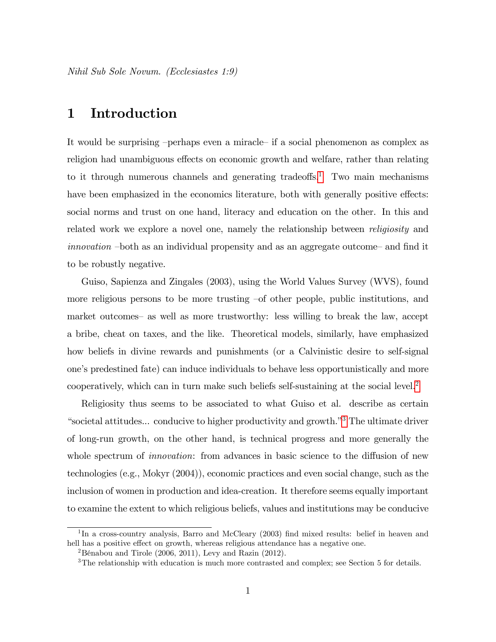Nihil Sub Sole Novum. (Ecclesiastes 1:9)

#### 1 Introduction

It would be surprising -perhaps even a miracle- if a social phenomenon as complex as religion had unambiguous effects on economic growth and welfare, rather than relating to it through numerous channels and generating tradeoffs.<sup>1</sup> Two main mechanisms have been emphasized in the economics literature, both with generally positive effects: social norms and trust on one hand, literacy and education on the other. In this and related work we explore a novel one, namely the relationship between *religiosity* and *innovation* -both as an individual propensity and as an aggregate outcome- and find it to be robustly negative.

Guiso, Sapienza and Zingales (2003), using the World Values Survey (WVS), found more religious persons to be more trusting –of other people, public institutions, and market outcomes- as well as more trustworthy: less willing to break the law, accept a bribe, cheat on taxes, and the like. Theoretical models, similarly, have emphasized how beliefs in divine rewards and punishments (or a Calvinistic desire to self-signal one's predestined fate) can induce individuals to behave less opportunistically and more cooperatively, which can in turn make such beliefs self-sustaining at the social level.<sup>2</sup>

Religiosity thus seems to be associated to what Guiso et al. describe as certain "societal attitudes... conducive to higher productivity and growth."<sup>3</sup> The ultimate driver of long-run growth, on the other hand, is technical progress and more generally the whole spectrum of *innovation*: from advances in basic science to the diffusion of new technologies (e.g., Mokyr  $(2004)$ ), economic practices and even social change, such as the inclusion of women in production and idea-creation. It therefore seems equally important to examine the extent to which religious beliefs, values and institutions may be conducive

<span id="page-3-0"></span> $1\text{In a cross-country analysis}$ , Barro and McCleary (2003) find mixed results: belief in heaven and hell has a positive effect on growth, whereas religious attendance has a negative one.

<span id="page-3-1"></span><sup>&</sup>lt;sup>2</sup>Bénabou and Tirole (2006, 2011), Levy and Razin (2012).

<span id="page-3-2"></span> $3$ The relationship with education is much more contrasted and complex; see Section 5 for details.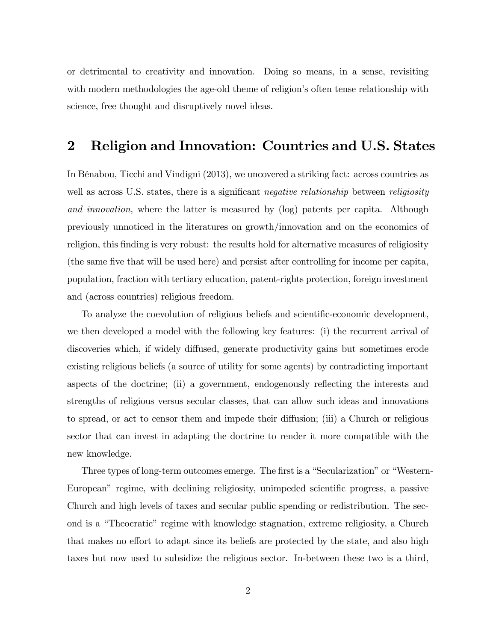or detrimental to creativity and innovation. Doing so means, in a sense, revisiting with modern methodologies the age-old theme of religion's often tense relationship with science, free thought and disruptively novel ideas.

#### 2 Religion and Innovation: Countries and U.S. States

In BÈnabou, Ticchi and Vindigni (2013), we uncovered a striking fact: across countries as well as across U.S. states, there is a significant *negative relationship* between *religiosity* and innovation, where the latter is measured by (log) patents per capita. Although previously unnoticed in the literatures on growth/innovation and on the economics of religion, this finding is very robust: the results hold for alternative measures of religiosity (the same five that will be used here) and persist after controlling for income per capita, population, fraction with tertiary education, patent-rights protection, foreign investment and (across countries) religious freedom.

To analyze the coevolution of religious beliefs and scientific-economic development, we then developed a model with the following key features: (i) the recurrent arrival of discoveries which, if widely diffused, generate productivity gains but sometimes erode existing religious beliefs (a source of utility for some agents) by contradicting important aspects of the doctrine; (ii) a government, endogenously reflecting the interests and strengths of religious versus secular classes, that can allow such ideas and innovations to spread, or act to censor them and impede their diffusion; (iii) a Church or religious sector that can invest in adapting the doctrine to render it more compatible with the new knowledge.

Three types of long-term outcomes emerge. The first is a "Secularization" or "Western-European" regime, with declining religiosity, unimpeded scientific progress, a passive Church and high levels of taxes and secular public spending or redistribution. The second is a "Theocratic" regime with knowledge stagnation, extreme religiosity, a Church that makes no effort to adapt since its beliefs are protected by the state, and also high taxes but now used to subsidize the religious sector. In-between these two is a third,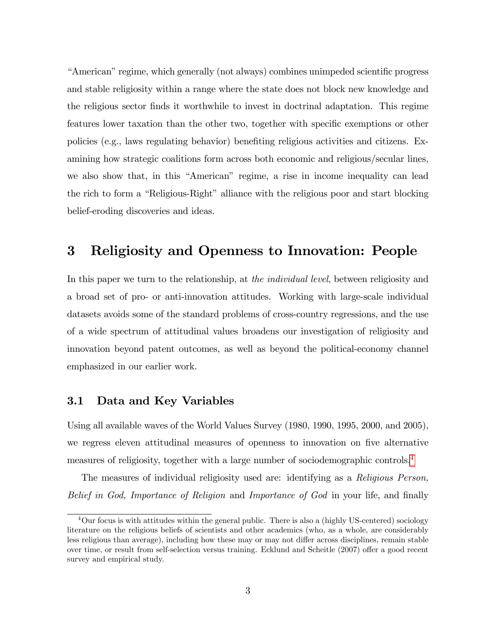<sup>4</sup>American<sup>"</sup> regime, which generally (not always) combines unimpeded scientific progress and stable religiosity within a range where the state does not block new knowledge and the religious sector finds it worthwhile to invest in doctrinal adaptation. This regime features lower taxation than the other two, together with specific exemptions or other policies (e.g., laws regulating behavior) benefiting religious activities and citizens. Examining how strategic coalitions form across both economic and religious/secular lines, we also show that, in this "American" regime, a rise in income inequality can lead the rich to form a "Religious-Right" alliance with the religious poor and start blocking belief-eroding discoveries and ideas.

# 3 Religiosity and Openness to Innovation: People

In this paper we turn to the relationship, at *the individual level*, between religiosity and a broad set of pro- or anti-innovation attitudes. Working with large-scale individual datasets avoids some of the standard problems of cross-country regressions, and the use of a wide spectrum of attitudinal values broadens our investigation of religiosity and innovation beyond patent outcomes, as well as beyond the political-economy channel emphasized in our earlier work.

#### 3.1 Data and Key Variables

Using all available waves of the World Values Survey (1980, 1990, 1995, 2000, and 2005), we regress eleven attitudinal measures of openness to innovation on five alternative measures of religiosity, together with a large number of sociodemographic controls.[4](#page-5-0)

The measures of individual religiosity used are: identifying as a Religious Person, Belief in God, Importance of Religion and Importance of God in your life, and finally

<span id="page-5-0"></span><sup>&</sup>lt;sup>4</sup>Our focus is with attitudes within the general public. There is also a (highly US-centered) sociology literature on the religious beliefs of scientists and other academics (who, as a whole, are considerably less religious than average), including how these may or may not differ across disciplines, remain stable over time, or result from self-selection versus training. Ecklund and Scheitle (2007) offer a good recent survey and empirical study.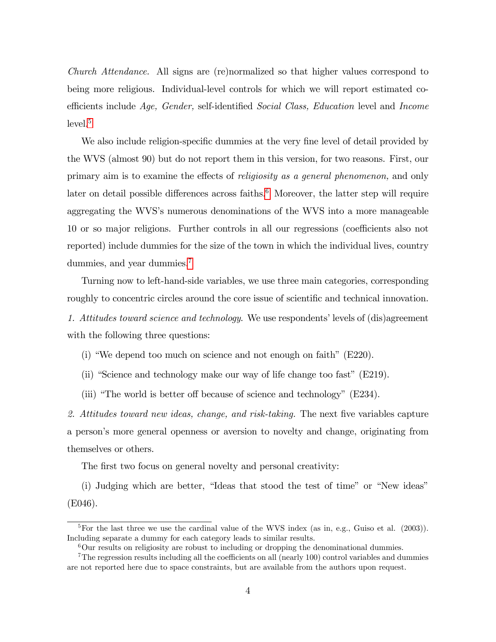Church Attendance. All signs are (re)normalized so that higher values correspond to being more religious. Individual-level controls for which we will report estimated coefficients include Age, Gender, self-identified Social Class, Education level and Income  $level.<sup>5</sup>$  $level.<sup>5</sup>$  $level.<sup>5</sup>$ 

We also include religion-specific dummies at the very fine level of detail provided by the WVS (almost 90) but do not report them in this version, for two reasons. First, our primary aim is to examine the effects of *religiosity as a general phenomenon*, and only later on detail possible differences across faiths.<sup>[6](#page-6-1)</sup> Moreover, the latter step will require aggregating the WVS's numerous denominations of the WVS into a more manageable 10 or so major religions. Further controls in all our regressions (coefficients also not reported) include dummies for the size of the town in which the individual lives, country dummies, and year dummies.<sup>[7](#page-6-2)</sup>

Turning now to left-hand-side variables, we use three main categories, corresponding roughly to concentric circles around the core issue of scientific and technical innovation.

1. Attitudes toward science and technology. We use respondents' levels of (dis)agreement with the following three questions:

(i) "We depend too much on science and not enough on faith"  $(E220)$ .

(ii) "Science and technology make our way of life change too fast"  $(E219)$ .

(iii) "The world is better off because of science and technology" ( $E234$ ).

2. Attitudes toward new ideas, change, and risk-taking. The next five variables capture a personís more general openness or aversion to novelty and change, originating from themselves or others.

The first two focus on general novelty and personal creativity:

(i) Judging which are better, "Ideas that stood the test of time" or "New ideas" (E046).

<span id="page-6-0"></span><sup>&</sup>lt;sup>5</sup>For the last three we use the cardinal value of the WVS index (as in, e.g., Guiso et al. (2003)). Including separate a dummy for each category leads to similar results.

<span id="page-6-2"></span><span id="page-6-1"></span> $6$ Our results on religiosity are robust to including or dropping the denominational dummies.

 $7$ The regression results including all the coefficients on all (nearly 100) control variables and dummies are not reported here due to space constraints, but are available from the authors upon request.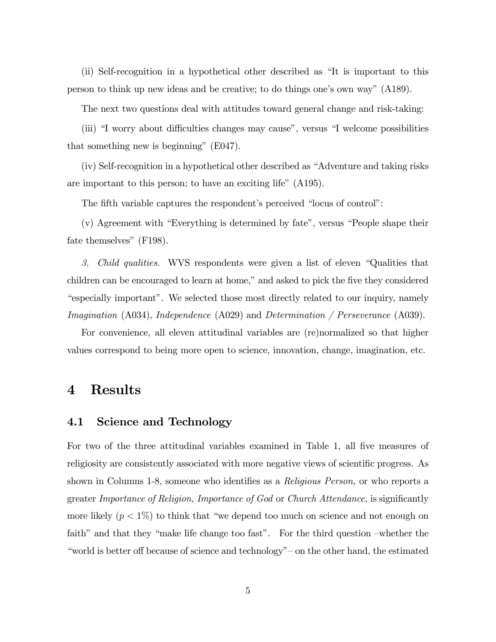(ii) Self-recognition in a hypothetical other described as  $\mathrm{H}$  is important to this person to think up new ideas and be creative; to do things one's own way" (A189).

The next two questions deal with attitudes toward general change and risk-taking:

(iii) "I worry about difficulties changes may cause", versus "I welcome possibilities that something new is beginning"  $(E047)$ .

 $(iv)$  Self-recognition in a hypothetical other described as "Adventure and taking risks" are important to this person; to have an exciting life" (A195).

The fifth variable captures the respondent's perceived "locus of control":

 $(v)$  Agreement with "Everything is determined by fate", versus "People shape their fate themselves"  $(F198)$ .

3. Child qualities. WVS respondents were given a list of eleven "Qualities that children can be encouraged to learn at home," and asked to pick the five they considered ìespecially importantî. We selected those most directly related to our inquiry, namely Imagination (A034), Independence (A029) and Determination / Perseverance (A039).

For convenience, all eleven attitudinal variables are (re)normalized so that higher values correspond to being more open to science, innovation, change, imagination, etc.

#### 4 Results

#### 4.1 Science and Technology

For two of the three attitudinal variables examined in Table 1, all five measures of religiosity are consistently associated with more negative views of scientific progress. As shown in Columns 1-8, someone who identifies as a *Religious Person*, or who reports a greater Importance of Religion, Importance of God or Church Attendance, is significantly more likely  $(p < 1\%)$  to think that "we depend too much on science and not enough on faith" and that they "make life change too fast". For the third question –whether the "world is better off because of science and technology" – on the other hand, the estimated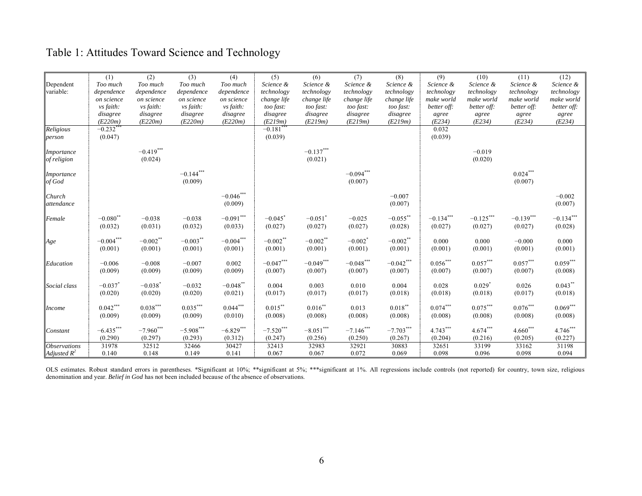# Table 1: Attitudes Toward Science and Technology

|                            | (1)                               | (2)                    | (3)                    | (4)                                | (5)                              | (6)                                | (7)                     | (8)                    | (9)                    | (10)                   | (11)                   | (12)                   |
|----------------------------|-----------------------------------|------------------------|------------------------|------------------------------------|----------------------------------|------------------------------------|-------------------------|------------------------|------------------------|------------------------|------------------------|------------------------|
| Dependent                  | Too much                          | Too much               | Too much               | Too much                           | Science &                        | Science &                          | Science &               | Science &              | Science &              | Science &              | Science &              | Science &              |
| variable:                  | dependence                        | dependence             | dependence             | dependence                         | technology                       | technology                         | technology              | technology             | technology             | technology             | technology             | technology             |
|                            | on science                        | on science             | on science             | on science                         | change life                      | change life                        | change life             | change life            | make world             | make world             | make world             | make world             |
|                            | vs faith:<br>disagree             | vs faith:<br>disagree  | vs faith:<br>disagree  | vs faith:<br>disagree              | too fast:<br>disagree            | too fast:<br>disagree              | too fast:<br>disagree   | too fast:<br>disagree  | better off:            | better off:            | better off:            | better off:<br>agree   |
|                            | (E220m)                           | (E220m)                | (E220m)                | (E220m)                            | (E219m)                          | (E219m)                            | (E219m)                 | (E219m)                | agree<br>(E234)        | agree<br>(E234)        | agree<br>(E234)        | (E234)                 |
| Religious                  | $-0.232$ **                       |                        |                        |                                    | $-0.181$ <sup>**</sup>           |                                    |                         |                        | 0.032                  |                        |                        |                        |
| person                     | (0.047)                           |                        |                        |                                    | (0.039)                          |                                    |                         |                        | (0.039)                |                        |                        |                        |
|                            |                                   |                        |                        |                                    |                                  |                                    |                         |                        |                        |                        |                        |                        |
| <i>Importance</i>          |                                   | $-0.419***$            |                        |                                    |                                  | $-0.137***$                        |                         |                        |                        | $-0.019$               |                        |                        |
| of religion                |                                   | (0.024)                |                        |                                    |                                  | (0.021)                            |                         |                        |                        | (0.020)                |                        |                        |
| <i>Importance</i>          |                                   |                        | $-0.144***$            |                                    |                                  |                                    | $-0.094***$             |                        |                        |                        | $0.024***$             |                        |
| of God                     |                                   |                        | (0.009)                |                                    |                                  |                                    | (0.007)                 |                        |                        |                        | (0.007)                |                        |
|                            |                                   |                        |                        |                                    |                                  |                                    |                         |                        |                        |                        |                        |                        |
| Church                     |                                   |                        |                        | $-0.046^{***}\,$                   |                                  |                                    |                         | $-0.007$               |                        |                        |                        | $-0.002$               |
| attendance                 |                                   |                        |                        | (0.009)                            |                                  |                                    |                         | (0.007)                |                        |                        |                        | (0.007)                |
|                            |                                   |                        |                        |                                    |                                  |                                    |                         |                        |                        |                        |                        |                        |
| Female                     | $-0.080$ <sup>**</sup><br>(0.032) | $-0.038$               | $-0.038$<br>(0.032)    | $-0.091^{\ast\ast\ast}$<br>(0.033) | $-0.045$ <sup>*</sup><br>(0.027) | $-0.051$ <sup>*</sup><br>(0.027)   | $-0.025$                | $-0.055$ **<br>(0.028) | $-0.134***$<br>(0.027) | $-0.125***$<br>(0.027) | $-0.139***$<br>(0.027) | $-0.134***$<br>(0.028) |
|                            |                                   | (0.031)                |                        |                                    |                                  |                                    | (0.027)                 |                        |                        |                        |                        |                        |
| Age                        | $-0.004\sp{***}$                  | $-0.002$ **            | $-0.003***$            | $-0.004^{***}\,$                   | $-0.002$ **                      | $-0.002**$                         | $-0.002$ <sup>*</sup>   | $-0.002$ **            | 0.000                  | 0.000                  | $-0.000$               | 0.000                  |
|                            | (0.001)                           | (0.001)                | (0.001)                | (0.001)                            | (0.001)                          | (0.001)                            | (0.001)                 | (0.001)                | (0.001)                | (0.001)                | (0.001)                | (0.001)                |
|                            |                                   |                        |                        |                                    |                                  |                                    |                         |                        |                        |                        |                        |                        |
| Education                  | $-0.006$                          | $-0.008$               | $-0.007$               | 0.002                              | $-0.047***$                      | $-0.049***$                        | $-0.048***$             | $-0.042***$            | $0.056***$             | $0.057***$             | $0.057***$             | $0.059***$             |
|                            | (0.009)                           | (0.009)                | (0.009)                | (0.009)                            | (0.007)                          | (0.007)                            | (0.007)                 | (0.007)                | (0.007)                | (0.007)                | (0.007)                | (0.008)                |
| Social class               | $-0.037$ <sup>*</sup>             | $-0.038$ <sup>*</sup>  | $-0.032$               | $-0.048$ **                        | 0.004                            | 0.003                              | 0.010                   | 0.004                  | 0.028                  | $0.029$ <sup>*</sup>   | 0.026                  | $0.043***$             |
|                            | (0.020)                           | (0.020)                | (0.020)                | (0.021)                            | (0.017)                          | (0.017)                            | (0.017)                 | (0.018)                | (0.018)                | (0.018)                | (0.017)                | (0.018)                |
|                            |                                   |                        |                        |                                    |                                  |                                    |                         |                        |                        |                        |                        |                        |
| <i>Income</i>              | $0.042***$                        | $0.038***$             | $0.035***$             | $0.044***$                         | $0.015***$                       | $0.016**$                          | 0.013                   | $0.018***$             | $0.074***$             | $0.075***$             | $0.076***$             | $0.069***$             |
|                            | (0.009)                           | (0.009)                | (0.009)                | (0.010)                            | (0.008)                          | (0.008)                            | (0.008)                 | (0.008)                | (0.008)                | (0.008)                | (0.008)                | (0.008)                |
|                            |                                   |                        |                        |                                    |                                  |                                    |                         |                        |                        |                        |                        | $4.746***$             |
| Constant                   | $-6.435***$<br>(0.290)            | $-7.960***$<br>(0.297) | $-5.908***$<br>(0.293) | $-6.829***$<br>(0.312)             | $-7.520***$<br>(0.247)           | $-8.051^{\ast\ast\ast}$<br>(0.256) | $-7.146$ ***<br>(0.250) | $-7.703***$<br>(0.267) | 4.743***<br>(0.204)    | $4.674***$<br>(0.216)  | $4.660***$<br>(0.205)  | (0.227)                |
| <i><b>Observations</b></i> | 31978                             | 32512                  | 32466                  | 30427                              | 32413                            | 32983                              | 32921                   | 30883                  | 32651                  | 33199                  | 33162                  | 31198                  |
| Adjusted $R^2$             | 0.140                             | 0.148                  | 0.149                  | 0.141                              | 0.067                            | 0.067                              | 0.072                   | 0.069                  | 0.098                  | 0.096                  | 0.098                  | 0.094                  |
|                            |                                   |                        |                        |                                    |                                  |                                    |                         |                        |                        |                        |                        |                        |

OLS estimates. Robust standard errors in parentheses. \*Significant at 10%; \*\*significant at 5%; \*\*\*significant at 1%. All regressions include controls (not reported) for country, town size, religious denomination and year. *Belief in God* has not been included because of the absence of observations.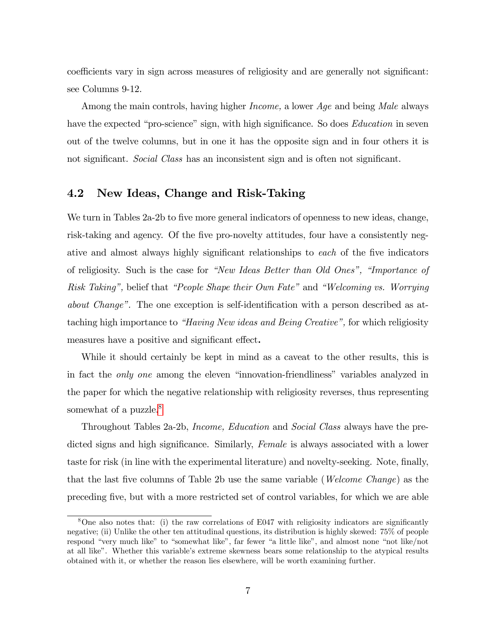coefficients vary in sign across measures of religiosity and are generally not significant: see Columns 9-12.

Among the main controls, having higher *Income*, a lower *Age* and being *Male* always have the expected "pro-science" sign, with high significance. So does *Education* in seven out of the twelve columns, but in one it has the opposite sign and in four others it is not significant. Social Class has an inconsistent sign and is often not significant.

#### 4.2 New Ideas, Change and Risk-Taking

We turn in Tables 2a-2b to five more general indicators of openness to new ideas, change, risk-taking and agency. Of the five pro-novelty attitudes, four have a consistently negative and almost always highly significant relationships to each of the five indicators of religiosity. Such is the case for "New Ideas Better than Old Ones", "Importance of Risk Taking", belief that "People Shape their Own Fate" and "Welcoming vs. Worrying *about Change*". The one exception is self-identification with a person described as attaching high importance to "Having New ideas and Being Creative", for which religiosity measures have a positive and significant effect.

While it should certainly be kept in mind as a caveat to the other results, this is in fact the *only one* among the eleven "innovation-friendliness" variables analyzed in the paper for which the negative relationship with religiosity reverses, thus representing somewhat of a puzzle.<sup>8</sup>

Throughout Tables 2a-2b, *Income, Education* and *Social Class* always have the predicted signs and high significance. Similarly, Female is always associated with a lower taste for risk (in line with the experimental literature) and novelty-seeking. Note, finally, that the last five columns of Table 2b use the same variable (*Welcome Change*) as the preceding five, but with a more restricted set of control variables, for which we are able

<span id="page-9-0"></span> $8$ One also notes that: (i) the raw correlations of E047 with religiosity indicators are significantly negative; (ii) Unlike the other ten attitudinal questions, its distribution is highly skewed: 75% of people respond "very much like" to "somewhat like", far fewer "a little like", and almost none "not like/not at all like". Whether this variable's extreme skewness bears some relationship to the atypical results obtained with it, or whether the reason lies elsewhere, will be worth examining further.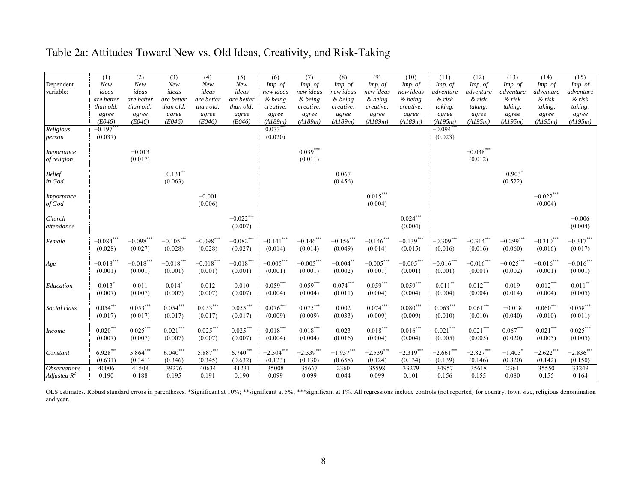### Table 2a: Attitudes Toward New vs. Old Ideas, Creativity, and Risk-Taking

|                     | (1)                  | (2)                     | (3)                  | (4)           | (5)             | (6)              | (7)                    | (8)         | (9)              | (10)            | (11)          | (12)                    | (13)                  | (14)               | (15)          |
|---------------------|----------------------|-------------------------|----------------------|---------------|-----------------|------------------|------------------------|-------------|------------------|-----------------|---------------|-------------------------|-----------------------|--------------------|---------------|
| Dependent           | New                  | New                     | New                  | New           | New             | Imp. of          | Imp. of                | Imp. of     | Imp. of          | Imp. of         | Imp. of       | Imp. of                 | Imp. of               | Imp. of            | Imp. of       |
| variable:           | ideas                | ideas                   | ideas                | ideas         | ideas           | new ideas        | new ideas              | new ideas   | new ideas        | new ideas       | adventure     | adventure               | adventure             | adventure          | adventure     |
|                     | are better           | are better              | are better           | are better    | are better      | & being          | & being                | & being     | & being          | & being         | & risk        | & risk                  | $&$ risk              | $&$ risk           | & risk        |
|                     | than old:            | than old:               | than old:            | than old:     | than old:       | creative:        | creative:              | creative:   | creative:        | creative:       | taking:       | taking:                 | taking:               | taking:            | taking:       |
|                     | agree                | agree                   | agree                | agree         | agree           | agree            | agree                  | agree       | agree            | agree           | agree         | agree                   | agree                 | agree              | agree         |
|                     | (E046)               | (E046)                  | (E046)               | (E046)        | (E046)          | (Al89m)          | (A189m)                | (Al89m)     | (A189m)          | (A189m          | (A195m)       | (A195m)                 | (A195m)               | (A195m)            | (A195m)       |
| Religious           | $-0.197***$          |                         |                      |               |                 | $0.073***$       |                        |             |                  |                 | $-0.094$ **   |                         |                       |                    |               |
| person              | (0.037)              |                         |                      |               |                 | (0.020)          |                        |             |                  |                 | (0.023)       |                         |                       |                    |               |
| <i>Importance</i>   |                      | $-0.013$                |                      |               |                 |                  | $0.039***$             |             |                  |                 |               | $-0.038***$             |                       |                    |               |
| of religion         |                      | (0.017)                 |                      |               |                 |                  | (0.011)                |             |                  |                 |               | (0.012)                 |                       |                    |               |
|                     |                      |                         |                      |               |                 |                  |                        |             |                  |                 |               |                         |                       |                    |               |
| <b>Belief</b>       |                      |                         | $-0.131$ **          |               |                 |                  |                        | 0.067       |                  |                 |               |                         | $-0.903$ <sup>*</sup> |                    |               |
| in God              |                      |                         | (0.063)              |               |                 |                  |                        | (0.456)     |                  |                 |               |                         | (0.522)               |                    |               |
| Importance          |                      |                         |                      | $-0.001$      |                 |                  |                        |             | $0.015***$       |                 |               |                         |                       | $-0.022***$        |               |
| of God              |                      |                         |                      | (0.006)       |                 |                  |                        |             | (0.004)          |                 |               |                         |                       | (0.004)            |               |
|                     |                      |                         |                      |               |                 |                  |                        |             |                  |                 |               |                         |                       |                    |               |
| Church              |                      |                         |                      |               | $-0.022***$     |                  |                        |             |                  | $0.024\sp{***}$ |               |                         |                       |                    | $-0.006$      |
| attendance          |                      |                         |                      |               | (0.007)         |                  |                        |             |                  | (0.004)         |               |                         |                       |                    | (0.004)       |
|                     |                      |                         |                      |               |                 |                  |                        |             |                  |                 |               |                         |                       |                    |               |
| Female              | $-0.084$ **          | $-0.098^{\ast\ast\ast}$ | $-0.105***$          | $-0.098***$   | $-0.082***$     | $-0.141$ ***     | $-0.146$ ***           | $-0.156***$ | $-0.146$ ***     | $-0.139***$     | $-0.309***$   | $-0.314***$             | $-0.299***$           | $-0.310***$        | $-0.317***$   |
|                     | (0.028)              | (0.027)                 | (0.028)              | (0.028)       | (0.027)         | (0.014)          | (0.014)                | (0.049)     | (0.014)          | (0.015)         | (0.016)       | (0.016)                 | (0.060)               | (0.016)            | (0.017)       |
| Age                 | $-0.018***$          | $-0.018^{\ast\ast\ast}$ | $-0.018***$          | $-0.018***$   | $-0.018***$     | $-0.005^{***}\,$ | $-0.005***$            | $-0.004$ ** | $-0.005^{***}\,$ | $-0.005***$     | $-0.016***$   | $-0.016$ ***            | $-0.025***$           | $-0.016***$        | $-0.016***$   |
|                     | (0.001)              | (0.001)                 | (0.001)              | (0.001)       | (0.001)         | (0.001)          | (0.001)                | (0.002)     | (0.001)          | (0.001)         | (0.001)       | (0.001)                 | (0.002)               | (0.001)            | (0.001)       |
|                     |                      |                         |                      |               |                 |                  |                        |             |                  |                 |               |                         |                       |                    |               |
| Education           | $0.013$ <sup>*</sup> | 0.011                   | $0.014$ <sup>*</sup> | 0.012         | 0.010           | $0.059***$       | $0.059***$             | $0.074***$  | $0.059***$       | $0.059***$      | $0.011***$    | $0.012***$              | 0.019                 | $0.012***$         | $0.011\sp{*}$ |
|                     | (0.007)              | (0.007)                 | (0.007)              | (0.007)       | (0.007)         | (0.004)          | (0.004)                | (0.011)     | (0.004)          | (0.004)         | (0.004)       | (0.004)                 | (0.014)               | (0.004)            | (0.005)       |
|                     |                      |                         |                      |               |                 |                  |                        |             |                  |                 |               |                         |                       |                    |               |
| Social class        | $0.054***$           | $0.053^{***}$           | $0.054***$           | $0.053^{***}$ | $0.055***$      | $0.076***$       | $0.075^{\ast\ast\ast}$ | 0.002       | $0.074***$       | $0.080***$      | $0.063^{***}$ | $0.061\overset{***}{ }$ | $-0.018$              | $0.060\sp{^{***}}$ | $0.058***$    |
|                     | (0.017)              | (0.017)                 | (0.017)              | (0.017)       | (0.017)         | (0.009)          | (0.009)                | (0.033)     | (0.009)          | (0.009)         | (0.010)       | (0.010)                 | (0.040)               | (0.010)            | (0.011)       |
|                     | $0.020***$           | $0.025\sp{***}$         | $0.021***$           | $0.025***$    | $0.025\sp{***}$ | $0.018***$       | $0.018***$             | 0.023       | $0.018***$       | $0.016***$      | $0.021***$    | $0.021\overset{***}{ }$ | $0.067\sp{***}$       | $0.021***$         | $0.025***$    |
| Income              | (0.007)              | (0.007)                 | (0.007)              | (0.007)       | (0.007)         | (0.004)          | (0.004)                | (0.016)     | (0.004)          | (0.004)         | (0.005)       | (0.005)                 | (0.020)               | (0.005)            | (0.005)       |
|                     |                      |                         |                      |               |                 |                  |                        |             |                  |                 |               |                         |                       |                    |               |
| Constant            | $6.928***$           | 5.864***                | $6.040***$           | $5.887***$    | $6.740***$      | $-2.504***$      | $-2.339***$            | $-1.937***$ | $-2.539***$      | $-2.319***$     | $-2.661$ ***  | $-2.827***$             | $-1.403$              | $-2.622***$        | $-2.836***$   |
|                     | (0.631)              | (0.341)                 | (0.346)              | (0.345)       | (0.632)         | (0.123)          | (0.130)                | (0.658)     | (0.124)          | (0.134)         | (0.139)       | (0.146)                 | (0.820)               | (0.142)            | (0.150)       |
| <b>Observations</b> | 40006                | 41508                   | 39276                | 40634         | 41231           | 35008            | 35667                  | 2360        | 35598            | 33279           | 34957         | 35618                   | 2361                  | 35550              | 33249         |
| Adjusted $R^2$      | 0.190                | 0.188                   | 0.195                | 0.191         | 0.190           | 0.099            | 0.099                  | 0.044       | 0.099            | 0.101           | 0.156         | 0.155                   | 0.080                 | 0.155              | 0.164         |

OLS estimates. Robust standard errors in parentheses. \*Significant at 10%; \*\*\*significant at 5%; \*\*\*significant at 1%. All regressions include controls (not reported) for country, town size, religious denomination and year.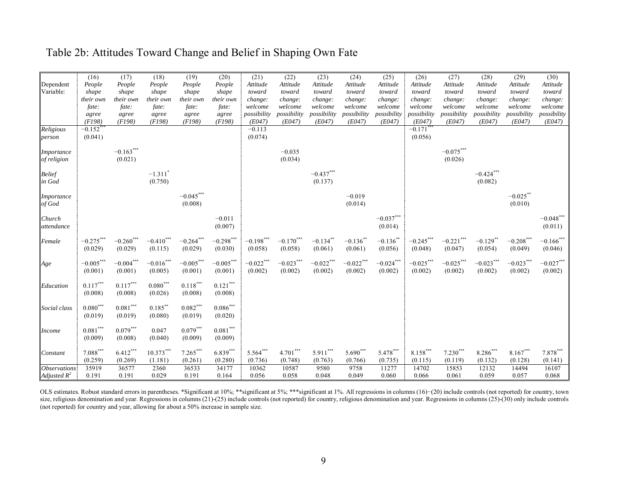### Table 2b: Attitudes Toward Change and Belief in Shaping Own Fate

|                            | (16)                   | (17)                   | (18)                  | (19)          | (20)                   | (21)        | (22)        | (23)                    | (24)                  | (25)             | (26)        | (27)         | (28)        | (29)        | (30)                    |
|----------------------------|------------------------|------------------------|-----------------------|---------------|------------------------|-------------|-------------|-------------------------|-----------------------|------------------|-------------|--------------|-------------|-------------|-------------------------|
| Dependent                  | People                 | People                 | People                | People        | People                 | Attitude    | Attitude    | Attitude                | Attitude              | Attitude         | Attitude    | Attitude     | Attitude    | Attitude    | Attitude                |
| Variable:                  | shape                  | shape                  | shape                 | shape         | shape                  | toward      | toward      | toward                  | toward                | toward           | toward      | toward       | toward      | toward      | toward                  |
|                            | their own              | their own              | their own             | their own     | their own              | change:     | change:     | change:                 | change:               | change:          | change:     | change:      | change:     | change:     | change:                 |
|                            | fate:                  | fate:                  | fate:                 | fate:         | fate:                  | welcome     | welcome     | welcome                 | welcome               | welcome          | welcome     | welcome      | welcome     | welcome     | welcome                 |
|                            | agree                  | agree                  | agree                 | agree         | agree                  | possibility | possibility | possibility             | possibility           | possibility      | possibility | possibility  | possibility | possibility | possibility             |
|                            | (F198)                 | (F198)                 | (F198)                | (F198)        | (F198)                 | (E047)      | (E047)      | (E047)                  | (E047)                | (E047)           | (E047)      | (E047)       | (E047)      | (E047)      | (E047)                  |
| Religious                  | $-0.152$ **            |                        |                       |               |                        | $-0.113$    |             |                         |                       |                  | $-0.171***$ |              |             |             |                         |
| person                     | (0.041)                |                        |                       |               |                        | (0.074)     |             |                         |                       |                  | (0.056)     |              |             |             |                         |
| Importance                 |                        | $-0.163***$            |                       |               |                        |             | $-0.035$    |                         |                       |                  |             | $-0.075***$  |             |             |                         |
| of religion                |                        | (0.021)                |                       |               |                        |             | (0.034)     |                         |                       |                  |             | (0.026)      |             |             |                         |
|                            |                        |                        |                       |               |                        |             |             |                         |                       |                  |             |              |             |             |                         |
| <b>Belief</b>              |                        |                        | $-1.311$ <sup>*</sup> |               |                        |             |             | $-0.437***$             |                       |                  |             |              | $-0.424***$ |             |                         |
| in God                     |                        |                        | (0.750)               |               |                        |             |             | (0.137)                 |                       |                  |             |              | (0.082)     |             |                         |
|                            |                        |                        |                       |               |                        |             |             |                         |                       |                  |             |              |             |             |                         |
| Importance                 |                        |                        |                       | $-0.045***$   |                        |             |             |                         | $-0.019$              |                  |             |              |             | $-0.025***$ |                         |
| of God                     |                        |                        |                       | (0.008)       |                        |             |             |                         | (0.014)               |                  |             |              |             | (0.010)     |                         |
|                            |                        |                        |                       |               |                        |             |             |                         |                       |                  |             |              |             |             |                         |
| Church                     |                        |                        |                       |               | $-0.011$               |             |             |                         |                       | $-0.037***$      |             |              |             |             | $-0.048^{***}\,$        |
| attendance                 |                        |                        |                       |               | (0.007)                |             |             |                         |                       | (0.014)          |             |              |             |             | (0.011)                 |
| Female                     | $-0.275***$            | $-0.260***$            | $-0.410***$           | $-0.264***$   | $-0.298***$            | $-0.198***$ | $-0.170***$ | $-0.134$ **             | $-0.136$ <sup>*</sup> | $-0.136$ **      | $-0.245***$ | $-0.221$ *** | $-0.129$ ** | $-0.208***$ | $-0.166$ ***            |
|                            | (0.029)                | (0.029)                | (0.115)               | (0.029)       | (0.030)                | (0.058)     | (0.058)     | (0.061)                 | (0.061)               | (0.056)          | (0.048)     | (0.047)      | (0.054)     | (0.049)     | (0.046)                 |
|                            |                        |                        |                       |               |                        |             |             |                         |                       |                  |             |              |             |             |                         |
| Age                        | $-0.005***$            | $-0.004***$            | $-0.016$ ***          | $-0.005***$   | $-0.005***$            | $-0.022***$ | $-0.023***$ | $-0.022^{\ast\ast\ast}$ | $-0.022$ ***          | $-0.024^{***}\,$ | $-0.025***$ | $-0.025***$  | $-0.023***$ | $-0.023***$ | $-0.027^{\ast\ast\ast}$ |
|                            | (0.001)                | (0.001)                | (0.005)               | (0.001)       | (0.001)                | (0.002)     | (0.002)     | (0.002)                 | (0.002)               | (0.002)          | (0.002)     | (0.002)      | (0.002)     | (0.002)     | (0.002)                 |
|                            |                        |                        |                       |               |                        |             |             |                         |                       |                  |             |              |             |             |                         |
| Education                  | $0.117***$             | $0.117***$             | $0.080***$            | $0.118^{***}$ | $0.121^{\ast\ast\ast}$ |             |             |                         |                       |                  |             |              |             |             |                         |
|                            | (0.008)                | (0.008)                | (0.026)               | (0.008)       | (0.008)                |             |             |                         |                       |                  |             |              |             |             |                         |
|                            | $0.080^{\ast\ast\ast}$ | $0.081^{\ast\ast\ast}$ | $0.185***$            | $0.082***$    | $0.086***$             |             |             |                         |                       |                  |             |              |             |             |                         |
| Social class               |                        |                        |                       |               |                        |             |             |                         |                       |                  |             |              |             |             |                         |
|                            | (0.019)                | (0.019)                | (0.080)               | (0.019)       | (0.020)                |             |             |                         |                       |                  |             |              |             |             |                         |
| <b>Income</b>              | $0.081***$             | $0.079***$             | 0.047                 | $0.079***$    | $0.081***$             |             |             |                         |                       |                  |             |              |             |             |                         |
|                            | (0.009)                | (0.008)                | (0.040)               | (0.009)       | (0.009)                |             |             |                         |                       |                  |             |              |             |             |                         |
|                            |                        |                        |                       |               |                        |             |             |                         |                       |                  |             |              |             |             |                         |
| Constant                   | $7.088***$             | $6.412***$             | $10.373***$           | $7.265***$    | $6.839***$             | 5.564***    | $4.701***$  | $5.911***$              | $5.690***$            | 5.478***         | 8.158***    | $7.230***$   | $8.286***$  | $8.167***$  | 7.878***                |
|                            | (0.259)                | (0.269)                | (1.181)               | (0.261)       | (0.280)                | (0.736)     | (0.748)     | (0.763)                 | (0.766)               | (0.735)          | (0.115)     | (0.119)      | (0.132)     | (0.128)     | (0.141)                 |
| <i><b>Observations</b></i> | 35919                  | 36577                  | 2360                  | 36533         | 34177                  | 10362       | 10587       | 9580                    | 9758                  | 11277            | 14702       | 15853        | 12132       | 14494       | 16107                   |
| Adjusted $R^2$             | 0.191                  | 0.191                  | 0.029                 | 0.191         | 0.164                  | 0.056       | 0.058       | 0.048                   | 0.049                 | 0.060            | 0.066       | 0.061        | 0.059       | 0.057       | 0.068                   |

OLS estimates. Robust standard errors in parentheses. \*Significant at 10%; \*\*significant at 5%; \*\*\*significant at 1%. All regressions in columns (16)−(20) include controls (not reported) for country, town size, religious denomination and year. Regressions in columns (21)-(25) include controls (not reported) for country, religious denomination and year. Regressions in columns (25)-(30) only include controls (not reported) for country and year, allowing for about a 50% increase in sample size.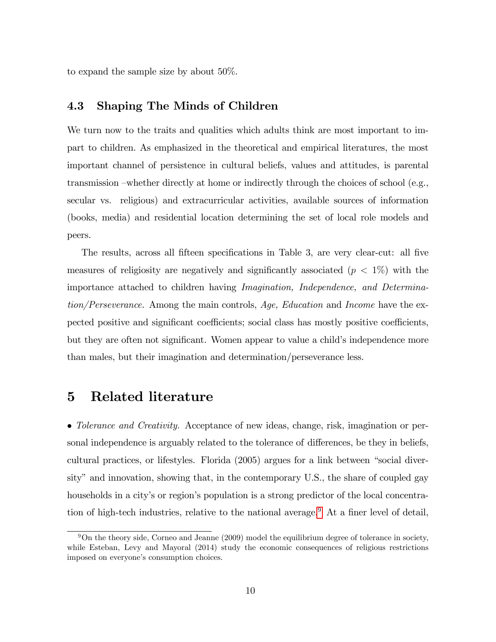to expand the sample size by about 50%.

#### 4.3 Shaping The Minds of Children

We turn now to the traits and qualities which adults think are most important to impart to children. As emphasized in the theoretical and empirical literatures, the most important channel of persistence in cultural beliefs, values and attitudes, is parental transmission –whether directly at home or indirectly through the choices of school (e.g., secular vs. religious) and extracurricular activities, available sources of information (books, media) and residential location determining the set of local role models and peers.

The results, across all fifteen specifications in Table 3, are very clear-cut: all five measures of religiosity are negatively and significantly associated  $(p < 1\%)$  with the importance attached to children having Imagination, Independence, and Determination/Perseverance. Among the main controls, Age, Education and Income have the expected positive and significant coefficients; social class has mostly positive coefficients, but they are often not significant. Women appear to value a child's independence more than males, but their imagination and determination/perseverance less.

### 5 Related literature

• Tolerance and Creativity. Acceptance of new ideas, change, risk, imagination or personal independence is arguably related to the tolerance of differences, be they in beliefs, cultural practices, or lifestyles. Florida  $(2005)$  argues for a link between "social diversity" and innovation, showing that, in the contemporary U.S., the share of coupled gay households in a city's or region's population is a strong predictor of the local concentra-tion of high-tech industries, relative to the national average.<sup>[9](#page-12-0)</sup> At a finer level of detail,

<span id="page-12-0"></span> $9\text{On the theory side, Corneo and Jeanne (2009) model the equilibrium degree of tolerance in society, }$ while Esteban, Levy and Mayoral (2014) study the economic consequences of religious restrictions imposed on everyone's consumption choices.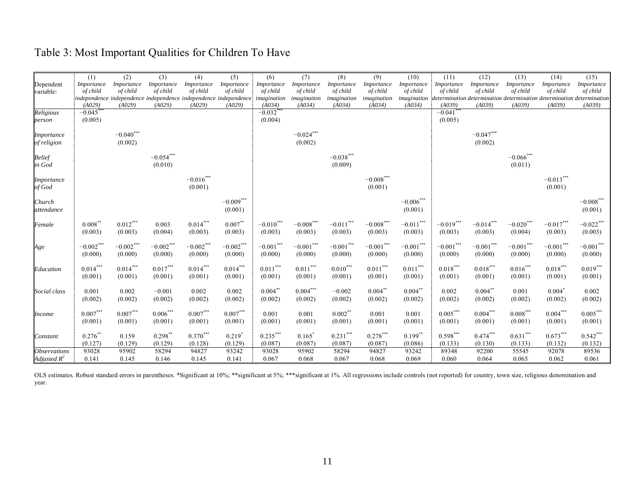| Table 3: Most Important Qualities for Children To Have |  |  |  |  |  |  |
|--------------------------------------------------------|--|--|--|--|--|--|
|--------------------------------------------------------|--|--|--|--|--|--|

|                            | (1)               | (2)                                                                          | (3)         | (4)            | (5)                              | (6)                    | (7)          | (8)          | (9)          | (10)            | (11)                  | (12)                                                                  | (13)                    | (14)                            | (15)             |
|----------------------------|-------------------|------------------------------------------------------------------------------|-------------|----------------|----------------------------------|------------------------|--------------|--------------|--------------|-----------------|-----------------------|-----------------------------------------------------------------------|-------------------------|---------------------------------|------------------|
| Dependent                  | <i>Importance</i> | Importance                                                                   | Importance  | Importance     | Importance                       | Importance             | Importance   | Importance   | Importance   | Importance      | Importance            | Importance                                                            | Importance              | Importance                      | Importance       |
| variable:                  | of child          | of child                                                                     | of child    | of child       | of child                         | of child               | of child     | of child     | of child     | of child        | of child              | of child                                                              | of child                | of child                        | of child         |
|                            |                   | independence independence independence independence independence imagination |             |                |                                  |                        | imagination  | imagination  | imagination  | imagination     |                       | determination determination determination determination determination |                         |                                 |                  |
|                            | (A029)            | (A029)                                                                       | (A029)      | (A029)         | (A029)                           | (A034)                 | (A034)       | (A034)       | (A034)       | (A034)          | (A039)                | (A039)                                                                | (A039)                  | (A039)                          | (A039)           |
| Religious                  | $-0.045$ *        |                                                                              |             |                |                                  | $-0.032$ **            |              |              |              |                 | $-0.041$ <sup>*</sup> |                                                                       |                         |                                 |                  |
| person                     | (0.005)           |                                                                              |             |                |                                  | (0.004)                |              |              |              |                 | (0.005)               |                                                                       |                         |                                 |                  |
|                            |                   |                                                                              |             |                |                                  |                        |              |              |              |                 |                       |                                                                       |                         |                                 |                  |
| <i>Importance</i>          |                   | $-0.040$ ***                                                                 |             |                |                                  |                        | $-0.024***$  |              |              |                 |                       | $-0.047***$                                                           |                         |                                 |                  |
| of religion                |                   | (0.002)                                                                      |             |                |                                  |                        | (0.002)      |              |              |                 |                       | (0.002)                                                               |                         |                                 |                  |
|                            |                   |                                                                              |             |                |                                  |                        |              |              |              |                 |                       |                                                                       |                         |                                 |                  |
| <b>Belief</b>              |                   |                                                                              | $-0.054***$ |                |                                  |                        |              | $-0.038***$  |              |                 |                       |                                                                       | $-0.066^{***}\,$        |                                 |                  |
| in God                     |                   |                                                                              | (0.010)     |                |                                  |                        |              | (0.009)      |              |                 |                       |                                                                       | (0.011)                 |                                 |                  |
|                            |                   |                                                                              |             |                |                                  |                        |              |              |              |                 |                       |                                                                       |                         |                                 |                  |
| <i>Importance</i>          |                   |                                                                              |             | $-0.016^{***}$ |                                  |                        |              |              | $-0.008***$  |                 |                       |                                                                       |                         | $-0.013***$                     |                  |
| of God                     |                   |                                                                              |             | (0.001)        |                                  |                        |              |              | (0.001)      |                 |                       |                                                                       |                         | (0.001)                         |                  |
|                            |                   |                                                                              |             |                |                                  |                        |              |              |              |                 |                       |                                                                       |                         |                                 |                  |
| Church                     |                   |                                                                              |             |                | $-0.009***$                      |                        |              |              |              | $-0.006***$     |                       |                                                                       |                         |                                 | $-0.008^{***}\,$ |
| attendance                 |                   |                                                                              |             |                | (0.001)                          |                        |              |              |              | (0.001)         |                       |                                                                       |                         |                                 | (0.001)          |
|                            |                   |                                                                              |             |                |                                  |                        |              |              |              |                 |                       |                                                                       |                         |                                 |                  |
| Female                     | $0.008*$          | $0.012***$                                                                   | 0.003       | $0.014***$     | $0.007\ensuremath{^{**}}\xspace$ | $-0.010^{***}\,$       | $-0.008***$  | $-0.011***$  | $-0.008***$  | $-0.011***$     | $-0.019***$           | $-0.014***$                                                           | $-0.020^{\ast\ast\ast}$ | $-0.017***$                     | $-0.022***$      |
|                            | (0.003)           | (0.003)                                                                      | (0.004)     | (0.003)        | (0.003)                          | (0.003)                | (0.003)      | (0.003)      | (0.003)      | (0.003)         | (0.003)               | (0.003)                                                               | (0.004)                 | (0.003)                         | (0.003)          |
|                            |                   |                                                                              |             |                |                                  |                        |              |              |              |                 |                       |                                                                       |                         |                                 |                  |
| Age                        | $-0.002***$       | $-0.002***$                                                                  | $-0.002***$ | $-0.002***$    | $-0.002***$                      | $-0.001\sp{***}$       | $-0.001$ *** | $-0.001$ *** | $-0.001$ *** | $-0.001***$     | $-0.001^{***}$        | $-0.001$ ***                                                          | $-0.001^{***}\,$        | $\textcolor{red}{-0.001}^{***}$ | $-0.001***$      |
|                            | (0.000)           | (0.000)                                                                      | (0.000)     | (0.000)        | (0.000)                          | (0.000)                | (0.000)      | (0.000)      | (0.000)      | (0.000)         | (0.000)               | (0.000)                                                               | (0.000)                 | (0.000)                         | (0.000)          |
|                            |                   |                                                                              |             |                |                                  |                        |              |              |              |                 |                       |                                                                       |                         |                                 |                  |
| Education                  | $0.014***$        | $0.014***$                                                                   | $0.017***$  | $0.014***$     | $0.014***$                       | $0.011^{\ast\ast\ast}$ | $0.011***$   | $0.010***$   | $0.011***$   | $0.011\sp{***}$ | $0.018***$            | $0.018***$                                                            | $0.016***$              | $0.018***$                      | $0.019***$       |
|                            | (0.001)           | (0.001)                                                                      | (0.001)     | (0.001)        | (0.001)                          | (0.001)                | (0.001)      | (0.001)      | (0.001)      | (0.001)         | (0.001)               | (0.001)                                                               | (0.001)                 | (0.001)                         | (0.001)          |
|                            |                   |                                                                              |             |                |                                  |                        |              |              |              |                 |                       |                                                                       |                         |                                 |                  |
| Social class               | 0.001             | 0.002                                                                        | $-0.001$    | 0.002          | 0.002                            | $0.004***$             | $0.004***$   | $-0.002$     | $0.004**$    | $0.004$ **      | 0.002                 | $0.004$ **                                                            | 0.001                   | $0.004$ <sup>*</sup>            | 0.002            |
|                            | (0.002)           | (0.002)                                                                      | (0.002)     | (0.002)        | (0.002)                          | (0.002)                | (0.002)      | (0.002)      | (0.002)      | (0.002)         | (0.002)               | (0.002)                                                               | (0.002)                 | (0.002)                         | (0.002)          |
|                            |                   |                                                                              |             |                |                                  |                        |              |              |              |                 |                       |                                                                       |                         |                                 |                  |
| <i>Income</i>              | $0.007***$        | $0.007***$                                                                   | $0.006***$  | $0.007***$     | $0.007***$                       | 0.001                  | 0.001        | $0.002***$   | 0.001        | 0.001           | $0.005***$            | $0.004***$                                                            | $0.008***$              | $0.004***$                      | $0.005***$       |
|                            | (0.001)           | (0.001)                                                                      | (0.001)     | (0.001)        | (0.001)                          | (0.001)                | (0.001)      | (0.001)      | (0.001)      | (0.001)         | (0.001)               | (0.001)                                                               | (0.001)                 | (0.001)                         | (0.001)          |
|                            |                   |                                                                              |             |                |                                  |                        |              |              |              |                 |                       |                                                                       |                         |                                 |                  |
| Constant                   | $0.276$ **        | 0.159                                                                        | $0.298$ **  | $0.370***$     | $0.219$ <sup>*</sup>             | $0.235***$             | $0.165^*$    | $0.231***$   | $0.278***$   | $0.199***$      | $0.598***$            | $0.474***$                                                            | $0.631***$              | $0.673***$                      | $0.542***$       |
|                            | (0.127)           | (0.129)                                                                      | (0.129)     | (0.128)        | (0.129)                          | (0.087)                | (0.087)      | (0.087)      | (0.087)      | (0.086)         | (0.133)               | (0.130)                                                               | (0.133)                 | (0.132)                         | (0.132)          |
| <i><b>Observations</b></i> | 93028             | 95902                                                                        | 58294       | 94827          | 93242                            | 93028                  | 95902        | 58294        | 94827        | 93242           | 89348                 | 92200                                                                 | 55545                   | 92078                           | 89536            |
|                            | 0.141             | 0.145                                                                        | 0.146       | 0.145          | 0.141                            | 0.067                  | 0.068        | 0.067        | 0.068        | 0.069           | 0.060                 | 0.064                                                                 | 0.065                   | 0.062                           | 0.061            |
| Adjusted $R^2$             |                   |                                                                              |             |                |                                  |                        |              |              |              |                 |                       |                                                                       |                         |                                 |                  |

OLS estimates. Robust standard errors in parentheses. \*Significant at 10%; \*\*\*significant at 5%; \*\*\*significant at 1%. All regressions include controls (not reported) for country, town size, religious denomination and year.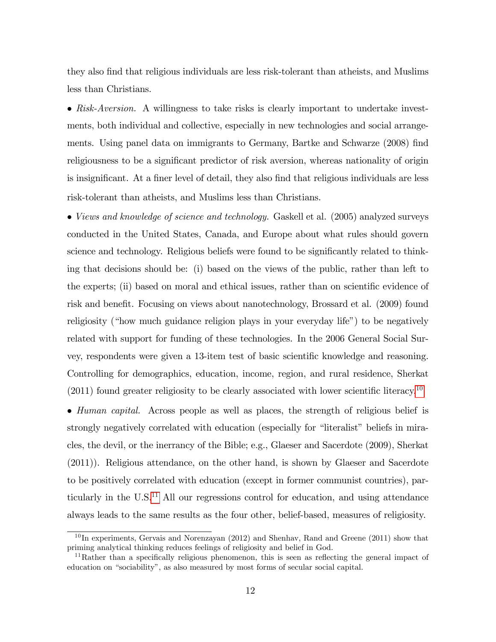they also Önd that religious individuals are less risk-tolerant than atheists, and Muslims less than Christians.

• Risk-Aversion. A willingness to take risks is clearly important to undertake investments, both individual and collective, especially in new technologies and social arrangements. Using panel data on immigrants to Germany, Bartke and Schwarze (2008) find religiousness to be a significant predictor of risk aversion, whereas nationality of origin is insignificant. At a finer level of detail, they also find that religious individuals are less risk-tolerant than atheists, and Muslims less than Christians.

• Views and knowledge of science and technology. Gaskell et al. (2005) analyzed surveys conducted in the United States, Canada, and Europe about what rules should govern science and technology. Religious beliefs were found to be significantly related to thinking that decisions should be: (i) based on the views of the public, rather than left to the experts; (ii) based on moral and ethical issues, rather than on scientific evidence of risk and benefit. Focusing on views about nanotechnology, Brossard et al. (2009) found religiosity ("how much guidance religion plays in your everyday life") to be negatively related with support for funding of these technologies. In the 2006 General Social Survey, respondents were given a 13-item test of basic scientific knowledge and reasoning. Controlling for demographics, education, income, region, and rural residence, Sherkat  $(2011)$  found greater religiosity to be clearly associated with lower scientific literacy.<sup>[10](#page-14-0)</sup>

 $\bullet$  *Human capital.* Across people as well as places, the strength of religious belief is strongly negatively correlated with education (especially for "literalist" beliefs in miracles, the devil, or the inerrancy of the Bible; e.g., Glaeser and Sacerdote (2009), Sherkat (2011)). Religious attendance, on the other hand, is shown by Glaeser and Sacerdote to be positively correlated with education (except in former communist countries), particularly in the  $\mathrm{U.S.}^{11}$  $\mathrm{U.S.}^{11}$  $\mathrm{U.S.}^{11}$  All our regressions control for education, and using attendance always leads to the same results as the four other, belief-based, measures of religiosity.

<span id="page-14-0"></span> $10$  In experiments, Gervais and Norenzayan (2012) and Shenhav, Rand and Greene (2011) show that priming analytical thinking reduces feelings of religiosity and belief in God.

<span id="page-14-1"></span> $11$ Rather than a specifically religious phenomenon, this is seen as reflecting the general impact of education on "sociability", as also measured by most forms of secular social capital.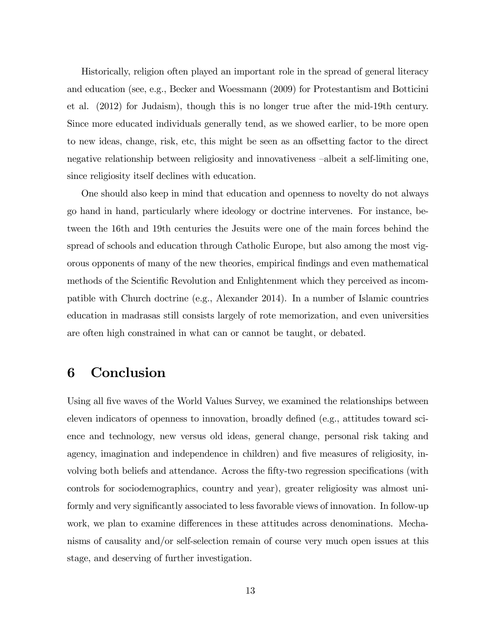Historically, religion often played an important role in the spread of general literacy and education (see, e.g., Becker and Woessmann (2009) for Protestantism and Botticini et al. (2012) for Judaism), though this is no longer true after the mid-19th century. Since more educated individuals generally tend, as we showed earlier, to be more open to new ideas, change, risk, etc, this might be seen as an offsetting factor to the direct negative relationship between religiosity and innovativeness  $-\text{albeit a self-limiting one}$ , since religiosity itself declines with education.

One should also keep in mind that education and openness to novelty do not always go hand in hand, particularly where ideology or doctrine intervenes. For instance, between the 16th and 19th centuries the Jesuits were one of the main forces behind the spread of schools and education through Catholic Europe, but also among the most vigorous opponents of many of the new theories, empirical Öndings and even mathematical methods of the Scientific Revolution and Enlightenment which they perceived as incompatible with Church doctrine (e.g., Alexander 2014). In a number of Islamic countries education in madrasas still consists largely of rote memorization, and even universities are often high constrained in what can or cannot be taught, or debated.

# 6 Conclusion

Using all five waves of the World Values Survey, we examined the relationships between eleven indicators of openness to innovation, broadly defined (e.g., attitudes toward science and technology, new versus old ideas, general change, personal risk taking and agency, imagination and independence in children) and five measures of religiosity, involving both beliefs and attendance. Across the fifty-two regression specifications (with controls for sociodemographics, country and year), greater religiosity was almost uniformly and very significantly associated to less favorable views of innovation. In follow-up work, we plan to examine differences in these attitudes across denominations. Mechanisms of causality and/or self-selection remain of course very much open issues at this stage, and deserving of further investigation.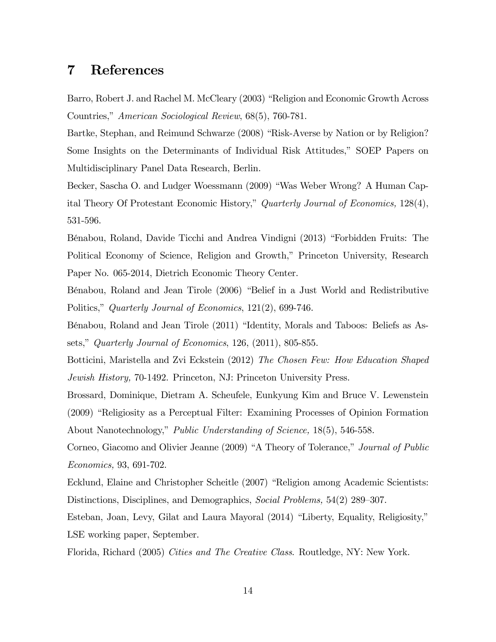#### References  $\overline{7}$

Barro, Robert J. and Rachel M. McCleary (2003) "Religion and Economic Growth Across Countries," American Sociological Review, 68(5), 760-781.

Bartke, Stephan, and Reimund Schwarze (2008) "Risk-Averse by Nation or by Religion? Some Insights on the Determinants of Individual Risk Attitudes," SOEP Papers on Multidisciplinary Panel Data Research, Berlin.

Becker, Sascha O. and Ludger Woessmann (2009) "Was Weber Wrong? A Human Capital Theory Of Protestant Economic History," Quarterly Journal of Economics, 128(4), 531-596.

Bénabou, Roland, Davide Ticchi and Andrea Vindigni (2013) "Forbidden Fruits: The Political Economy of Science, Religion and Growth," Princeton University, Research Paper No. 065-2014, Dietrich Economic Theory Center.

Bénabou, Roland and Jean Tirole (2006) "Belief in a Just World and Redistributive Politics," Quarterly Journal of Economics, 121(2), 699-746.

Bénabou, Roland and Jean Tirole (2011) "Identity, Morals and Taboos: Beliefs as Assets," Quarterly Journal of Economics, 126, (2011), 805-855.

Botticini, Maristella and Zvi Eckstein (2012) The Chosen Few: How Education Shaped *Jewish History, 70-1492. Princeton, NJ: Princeton University Press.* 

Brossard, Dominique, Dietram A. Scheufele, Eunkyung Kim and Bruce V. Lewenstein (2009) "Religiosity as a Perceptual Filter: Examining Processes of Opinion Formation About Nanotechnology," Public Understanding of Science, 18(5), 546-558.

Corneo, Giacomo and Olivier Jeanne (2009) "A Theory of Tolerance," Journal of Public *Economics*, 93, 691-702.

Ecklund, Elaine and Christopher Scheitle (2007) "Religion among Academic Scientists: Distinctions, Disciplines, and Demographics, Social Problems, 54(2) 289-307.

Esteban, Joan, Levy, Gilat and Laura Mayoral (2014) "Liberty, Equality, Religiosity," LSE working paper, September.

Florida, Richard (2005) Cities and The Creative Class. Routledge, NY: New York.